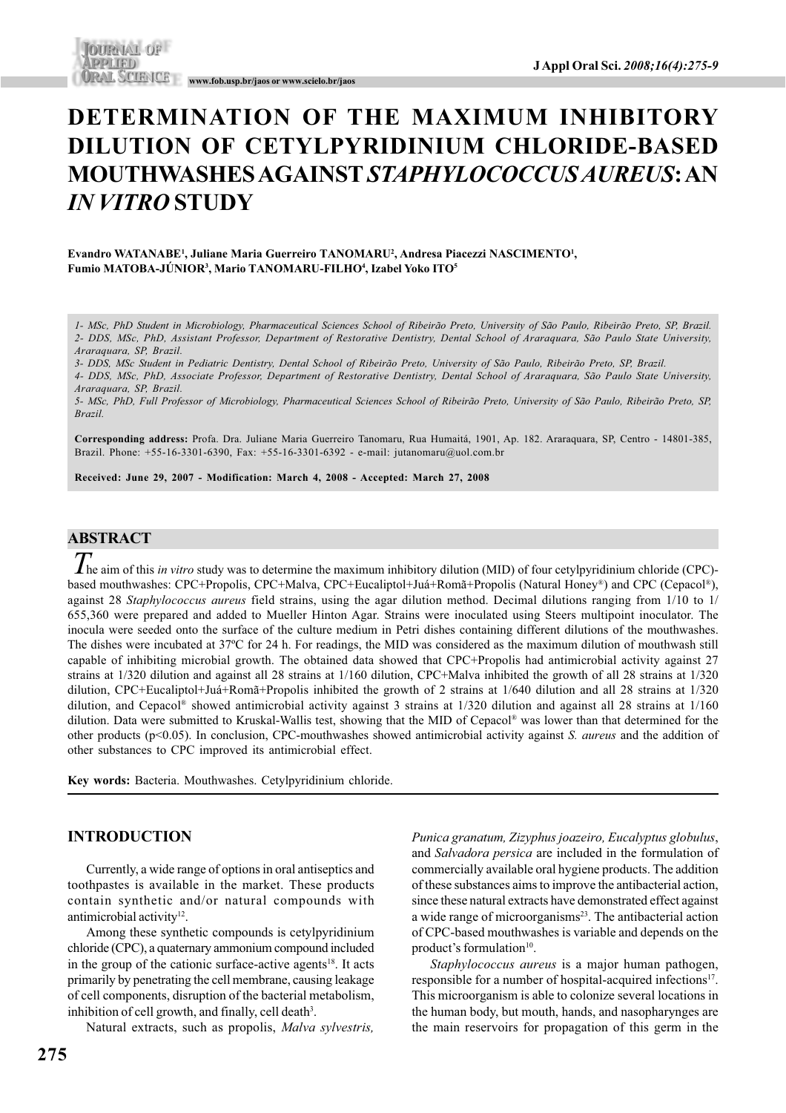## **DETERMINATION OF THE MAXIMUM INHIBITORY DILUTION OF CETYLPYRIDINIUM CHLORIDE-BASED MOUTHWASHES AGAINST** *STAPHYLOCOCCUS AUREUS***: AN** *IN VITRO* **STUDY**

#### **Evandro WATANABE1 , Juliane Maria Guerreiro TANOMARU2 , Andresa Piacezzi NASCIMENTO1 , Fumio MATOBA-JÚNIOR3 , Mario TANOMARU-FILHO4 , Izabel Yoko ITO5**

*1- MSc, PhD Student in Microbiology, Pharmaceutical Sciences School of Ribeirão Preto, University of São Paulo, Ribeirão Preto, SP, Brazil. 2- DDS, MSc, PhD, Assistant Professor, Department of Restorative Dentistry, Dental School of Araraquara, São Paulo State University, Araraquara, SP, Brazil.*

*3- DDS, MSc Student in Pediatric Dentistry, Dental School of Ribeirão Preto, University of São Paulo, Ribeirão Preto, SP, Brazil.*

*4- DDS, MSc, PhD, Associate Professor, Department of Restorative Dentistry, Dental School of Araraquara, São Paulo State University, Araraquara, SP, Brazil.*

*5- MSc, PhD, Full Professor of Microbiology, Pharmaceutical Sciences School of Ribeirão Preto, University of São Paulo, Ribeirão Preto, SP, Brazil.*

**Corresponding address:** Profa. Dra. Juliane Maria Guerreiro Tanomaru, Rua Humaitá, 1901, Ap. 182. Araraquara, SP, Centro - 14801-385, Brazil. Phone: +55-16-3301-6390, Fax: +55-16-3301-6392 - e-mail: jutanomaru@uol.com.br

**Received: June 29, 2007 - Modification: March 4, 2008 - Accepted: March 27, 2008**

## **ABSTRACT**

*T* he aim of this *in vitro* study was to determine the maximum inhibitory dilution (MID) of four cetylpyridinium chloride (CPC) based mouthwashes: CPC+Propolis, CPC+Malva, CPC+Eucaliptol+Juá+Romã+Propolis (Natural Honey®) and CPC (Cepacol®), against 28 *Staphylococcus aureus* field strains, using the agar dilution method. Decimal dilutions ranging from 1/10 to 1/ 655,360 were prepared and added to Mueller Hinton Agar. Strains were inoculated using Steers multipoint inoculator. The inocula were seeded onto the surface of the culture medium in Petri dishes containing different dilutions of the mouthwashes. The dishes were incubated at 37ºC for 24 h. For readings, the MID was considered as the maximum dilution of mouthwash still capable of inhibiting microbial growth. The obtained data showed that CPC+Propolis had antimicrobial activity against 27 strains at 1/320 dilution and against all 28 strains at 1/160 dilution, CPC+Malva inhibited the growth of all 28 strains at 1/320 dilution, CPC+Eucaliptol+Juá+Romã+Propolis inhibited the growth of 2 strains at 1/640 dilution and all 28 strains at 1/320 dilution, and Cepacol® showed antimicrobial activity against 3 strains at 1/320 dilution and against all 28 strains at 1/160 dilution. Data were submitted to Kruskal-Wallis test, showing that the MID of Cepacol® was lower than that determined for the other products (p<0.05). In conclusion, CPC-mouthwashes showed antimicrobial activity against *S. aureus* and the addition of other substances to CPC improved its antimicrobial effect.

**Key words:** Bacteria. Mouthwashes. Cetylpyridinium chloride.

## **INTRODUCTION**

Currently, a wide range of options in oral antiseptics and toothpastes is available in the market. These products contain synthetic and/or natural compounds with antimicrobial activity<sup>12</sup>.

Among these synthetic compounds is cetylpyridinium chloride (CPC), a quaternary ammonium compound included in the group of the cationic surface-active agents<sup>18</sup>. It acts primarily by penetrating the cell membrane, causing leakage of cell components, disruption of the bacterial metabolism, inhibition of cell growth, and finally, cell death<sup>3</sup>.

Natural extracts, such as propolis, *Malva sylvestris,*

**275**

*Punica granatum, Zizyphus joazeiro, Eucalyptus globulus*, and *Salvadora persica* are included in the formulation of commercially available oral hygiene products. The addition of these substances aims to improve the antibacterial action, since these natural extracts have demonstrated effect against a wide range of microorganisms<sup>23</sup>. The antibacterial action of CPC-based mouthwashes is variable and depends on the product's formulation<sup>10</sup>.

*Staphylococcus aureus* is a major human pathogen, responsible for a number of hospital-acquired infections<sup>17</sup>. This microorganism is able to colonize several locations in the human body, but mouth, hands, and nasopharynges are the main reservoirs for propagation of this germ in the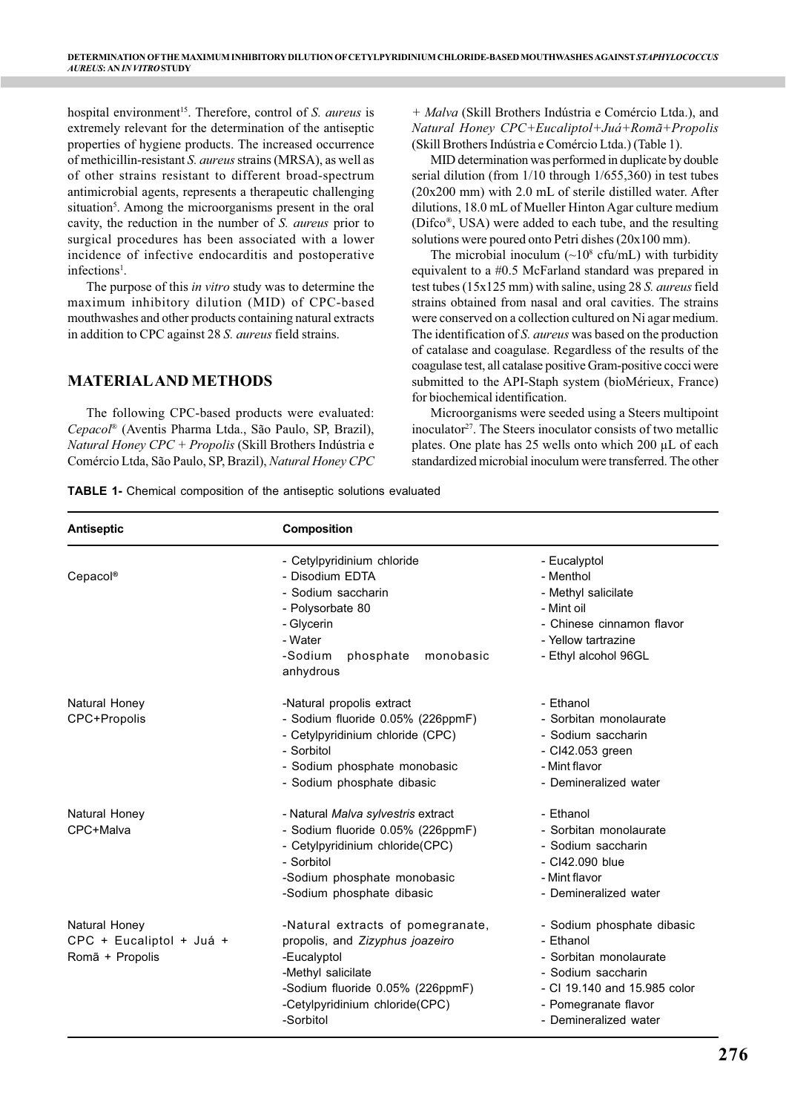hospital environment<sup>15</sup>. Therefore, control of *S. aureus* is extremely relevant for the determination of the antiseptic properties of hygiene products. The increased occurrence of methicillin-resistant *S. aureus* strains (MRSA), as well as of other strains resistant to different broad-spectrum antimicrobial agents, represents a therapeutic challenging situation<sup>5</sup>. Among the microorganisms present in the oral cavity, the reduction in the number of *S. aureus* prior to surgical procedures has been associated with a lower incidence of infective endocarditis and postoperative infections<sup>1</sup>.

The purpose of this *in vitro* study was to determine the maximum inhibitory dilution (MID) of CPC-based mouthwashes and other products containing natural extracts in addition to CPC against 28 *S. aureus* field strains.

## **MATERIAL AND METHODS**

The following CPC-based products were evaluated: *Cepacol*® (Aventis Pharma Ltda., São Paulo, SP, Brazil), *Natural Honey CPC + Propolis* (Skill Brothers Indústria e Comércio Ltda, São Paulo, SP, Brazil), *Natural Honey CPC* *+ Malva* (Skill Brothers Indústria e Comércio Ltda.), and *Natural Honey CPC+Eucaliptol+Juá+Romã+Propolis* (Skill Brothers Indústria e Comércio Ltda.) (Table 1).

MID determination was performed in duplicate by double serial dilution (from 1/10 through 1/655,360) in test tubes (20x200 mm) with 2.0 mL of sterile distilled water. After dilutions, 18.0 mL of Mueller Hinton Agar culture medium (Difco®, USA) were added to each tube, and the resulting solutions were poured onto Petri dishes (20x100 mm).

The microbial inoculum  $(\sim 10^8 \text{ cftmL})$  with turbidity equivalent to a #0.5 McFarland standard was prepared in test tubes (15x125 mm) with saline, using 28 *S. aureus* field strains obtained from nasal and oral cavities. The strains were conserved on a collection cultured on Ni agar medium. The identification of *S. aureus* was based on the production of catalase and coagulase. Regardless of the results of the coagulase test, all catalase positive Gram-positive cocci were submitted to the API-Staph system (bioMérieux, France) for biochemical identification.

Microorganisms were seeded using a Steers multipoint  $inculator<sup>27</sup>$ . The Steers inoculator consists of two metallic plates. One plate has 25 wells onto which 200 µL of each standardized microbial inoculum were transferred. The other

**TABLE 1-** Chemical composition of the antiseptic solutions evaluated

| <b>Antiseptic</b>                                            | <b>Composition</b>                                                                                                                                                                           |                                                                                                                                                                          |  |  |  |  |
|--------------------------------------------------------------|----------------------------------------------------------------------------------------------------------------------------------------------------------------------------------------------|--------------------------------------------------------------------------------------------------------------------------------------------------------------------------|--|--|--|--|
| Cepacol®                                                     | - Cetylpyridinium chloride<br>- Disodium EDTA<br>- Sodium saccharin<br>- Polysorbate 80<br>- Glycerin<br>- Water<br>-Sodium<br>phosphate<br>monobasic<br>anhydrous                           | - Eucalyptol<br>- Menthol<br>- Methyl salicilate<br>- Mint oil<br>- Chinese cinnamon flavor<br>- Yellow tartrazine<br>- Ethyl alcohol 96GL                               |  |  |  |  |
| Natural Honey<br>CPC+Propolis                                | -Natural propolis extract<br>- Sodium fluoride 0.05% (226ppmF)<br>- Cetylpyridinium chloride (CPC)<br>- Sorbitol<br>- Sodium phosphate monobasic<br>- Sodium phosphate dibasic               | - Ethanol<br>- Sorbitan monolaurate<br>- Sodium saccharin<br>- CI42.053 green<br>- Mint flavor<br>- Demineralized water                                                  |  |  |  |  |
| Natural Honey<br>CPC+Malva                                   | - Natural Malva sylvestris extract<br>- Sodium fluoride 0.05% (226ppmF)<br>- Cetylpyridinium chloride(CPC)<br>- Sorbitol<br>-Sodium phosphate monobasic<br>-Sodium phosphate dibasic         | - Ethanol<br>- Sorbitan monolaurate<br>- Sodium saccharin<br>- CI42.090 blue<br>- Mint flavor<br>- Demineralized water                                                   |  |  |  |  |
| Natural Honey<br>CPC + Eucaliptol + Juá +<br>Romã + Propolis | -Natural extracts of pomegranate,<br>propolis, and Zizyphus joazeiro<br>-Eucalyptol<br>-Methyl salicilate<br>-Sodium fluoride 0.05% (226ppmF)<br>-Cetylpyridinium chloride(CPC)<br>-Sorbitol | - Sodium phosphate dibasic<br>- Ethanol<br>- Sorbitan monolaurate<br>- Sodium saccharin<br>- CI 19.140 and 15.985 color<br>- Pomegranate flavor<br>- Demineralized water |  |  |  |  |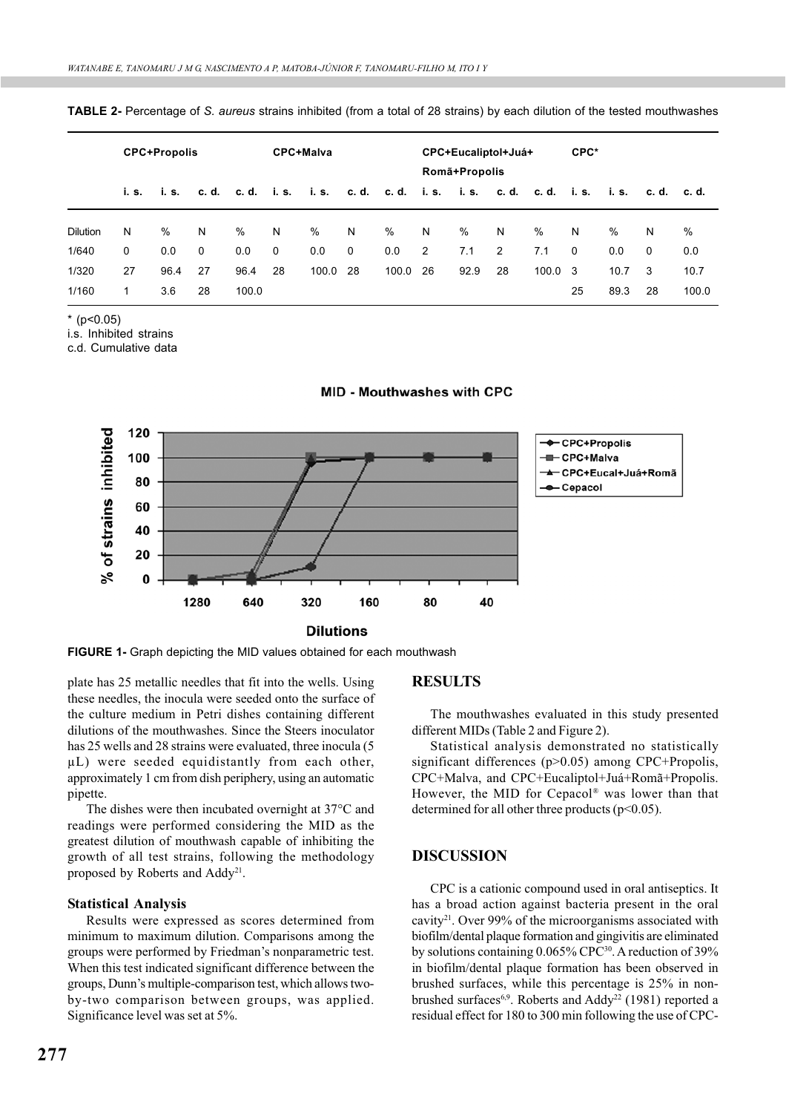| TABLE 2- Percentage of S. aureus strains inhibited (from a total of 28 strains) by each dilution of the tested mouthwashes |  |  |  |
|----------------------------------------------------------------------------------------------------------------------------|--|--|--|
|----------------------------------------------------------------------------------------------------------------------------|--|--|--|

|                 | <b>CPC+Propolis</b> |      |    | CPC+Malva |             |                               | CPC+Eucaliptol+Juá+<br>Romã+Propolis |                                    |                |      | CPC* |                 |             |       |           |       |
|-----------------|---------------------|------|----|-----------|-------------|-------------------------------|--------------------------------------|------------------------------------|----------------|------|------|-----------------|-------------|-------|-----------|-------|
|                 |                     |      |    |           |             | i.s. i.s. c.d. c.d. i.s. i.s. |                                      | c.d. c.d. i.s. i.s. c.d. c.d. i.s. |                |      |      |                 |             | i. s. | c.d. c.d. |       |
| <b>Dilution</b> | N                   | %    | N  | %         | N           | $\%$                          | N                                    | %                                  | N              | %    | N    | %               | N           | $\%$  | N         | %     |
| 1/640           | 0                   | 0.0  | 0  | 0.0       | $\mathbf 0$ | 0.0                           | 0                                    | 0.0                                | $\overline{2}$ | 7.1  | 2    | 7.1             | $\mathbf 0$ | 0.0   | $\Omega$  | 0.0   |
| 1/320           | 27                  | 96.4 | 27 | 96.4      | 28          | 100.0 28                      |                                      | 100.0                              | 26             | 92.9 | 28   | $100.0 \quad 3$ |             | 10.7  | -3        | 10.7  |
| 1/160           | 1                   | 3.6  | 28 | 100.0     |             |                               |                                      |                                    |                |      |      |                 | 25          | 89.3  | 28        | 100.0 |

 $*(p<0.05)$ 

i.s. Inhibited strains

c.d. Cumulative data



MID - Mouthwashes with CPC

**FIGURE 1-** Graph depicting the MID values obtained for each mouthwash

plate has 25 metallic needles that fit into the wells. Using these needles, the inocula were seeded onto the surface of the culture medium in Petri dishes containing different dilutions of the mouthwashes. Since the Steers inoculator has 25 wells and 28 strains were evaluated, three inocula (5 µL) were seeded equidistantly from each other, approximately 1 cm from dish periphery, using an automatic pipette.

The dishes were then incubated overnight at 37°C and readings were performed considering the MID as the greatest dilution of mouthwash capable of inhibiting the growth of all test strains, following the methodology proposed by Roberts and Addy<sup>21</sup>.

#### **Statistical Analysis**

Results were expressed as scores determined from minimum to maximum dilution. Comparisons among the groups were performed by Friedman's nonparametric test. When this test indicated significant difference between the groups, Dunn's multiple-comparison test, which allows twoby-two comparison between groups, was applied. Significance level was set at 5%.

# **277**

**RESULTS**

The mouthwashes evaluated in this study presented different MIDs (Table 2 and Figure 2).

Statistical analysis demonstrated no statistically significant differences (p>0.05) among CPC+Propolis, CPC+Malva, and CPC+Eucaliptol+Juá+Romã+Propolis. However, the MID for Cepacol® was lower than that determined for all other three products  $(p<0.05)$ .

### **DISCUSSION**

CPC is a cationic compound used in oral antiseptics. It has a broad action against bacteria present in the oral cavity21. Over 99% of the microorganisms associated with biofilm/dental plaque formation and gingivitis are eliminated by solutions containing 0.065% CPC<sup>30</sup>. A reduction of 39% in biofilm/dental plaque formation has been observed in brushed surfaces, while this percentage is 25% in nonbrushed surfaces<sup>6,9</sup>. Roberts and Addy<sup>22</sup> (1981) reported a residual effect for 180 to 300 min following the use of CPC-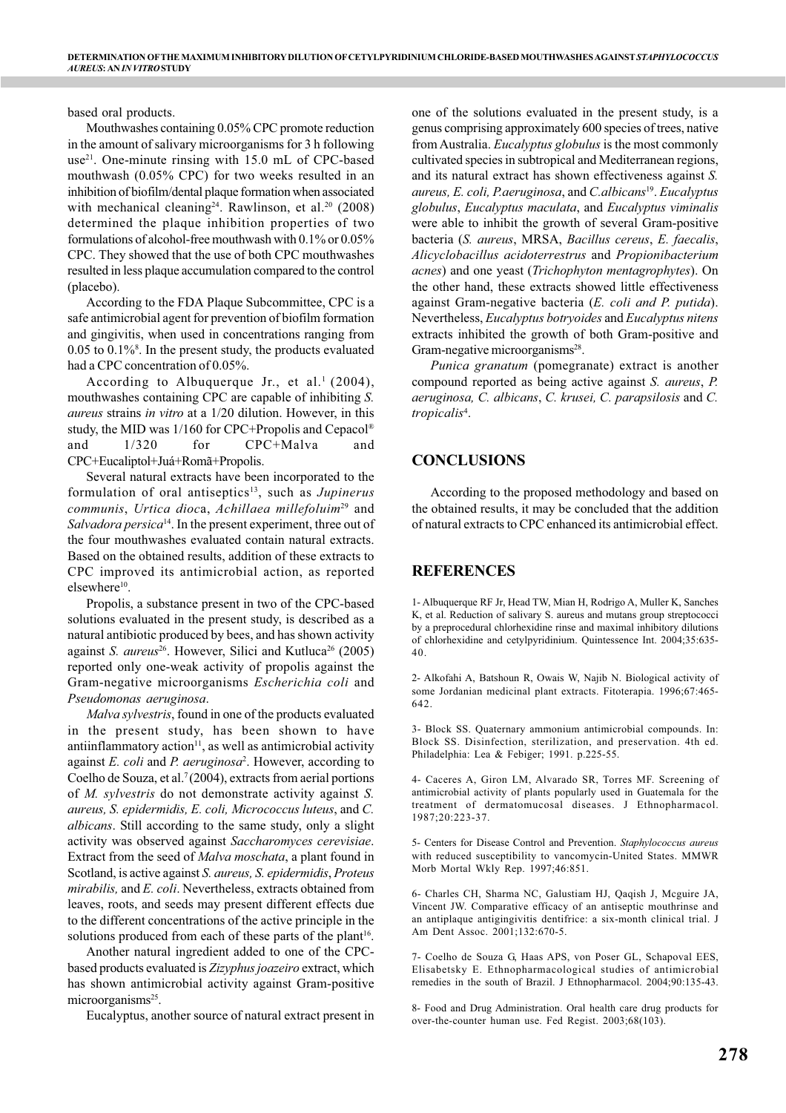based oral products.

Mouthwashes containing 0.05% CPC promote reduction in the amount of salivary microorganisms for 3 h following use<sup>21</sup>. One-minute rinsing with 15.0 mL of CPC-based mouthwash (0.05% CPC) for two weeks resulted in an inhibition of biofilm/dental plaque formation when associated with mechanical cleaning<sup>24</sup>. Rawlinson, et al.<sup>20</sup> (2008) determined the plaque inhibition properties of two formulations of alcohol-free mouthwash with 0.1% or 0.05% CPC. They showed that the use of both CPC mouthwashes resulted in less plaque accumulation compared to the control (placebo).

According to the FDA Plaque Subcommittee, CPC is a safe antimicrobial agent for prevention of biofilm formation and gingivitis, when used in concentrations ranging from 0.05 to 0.1%8 . In the present study, the products evaluated had a CPC concentration of 0.05%.

According to Albuquerque Jr., et al.<sup>1</sup> (2004), mouthwashes containing CPC are capable of inhibiting *S. aureus* strains *in vitro* at a 1/20 dilution. However, in this study, the MID was 1/160 for CPC+Propolis and Cepacol® and 1/320 for CPC+Malva and CPC+Eucaliptol+Juá+Romã+Propolis.

Several natural extracts have been incorporated to the formulation of oral antiseptics<sup>13</sup>, such as *Jupinerus communis*, *Urtica dioc*a, *Achillaea millefoluim*29 and *Salvadora persica*14. In the present experiment, three out of the four mouthwashes evaluated contain natural extracts. Based on the obtained results, addition of these extracts to CPC improved its antimicrobial action, as reported elsewhere<sup>10</sup>.

Propolis, a substance present in two of the CPC-based solutions evaluated in the present study, is described as a natural antibiotic produced by bees, and has shown activity against *S. aureus*<sup>26</sup>. However, Silici and Kutluca<sup>26</sup> (2005) reported only one-weak activity of propolis against the Gram-negative microorganisms *Escherichia coli* and *Pseudomonas aeruginosa*.

*Malva sylvestris*, found in one of the products evaluated in the present study, has been shown to have antiinflammatory  $\arctan(11)$ , as well as antimicrobial activity against *E. coli* and *P. aeruginosa*<sup>2</sup> . However, according to Coelho de Souza, et al.<sup>7</sup> (2004), extracts from aerial portions of *M. sylvestris* do not demonstrate activity against *S. aureus, S. epidermidis, E. coli, Micrococcus luteus*, and *C. albicans*. Still according to the same study, only a slight activity was observed against *Saccharomyces cerevisiae*. Extract from the seed of *Malva moschata*, a plant found in Scotland, is active against *S. aureus, S. epidermidis*, *Proteus mirabilis,* and *E. coli*. Nevertheless, extracts obtained from leaves, roots, and seeds may present different effects due to the different concentrations of the active principle in the solutions produced from each of these parts of the plant<sup>16</sup>.

Another natural ingredient added to one of the CPCbased products evaluated is *Zizyphus joazeiro* extract, which has shown antimicrobial activity against Gram-positive microorganisms<sup>25</sup>.

Eucalyptus, another source of natural extract present in

one of the solutions evaluated in the present study, is a genus comprising approximately 600 species of trees, native from Australia. *Eucalyptus globulus* is the most commonly cultivated species in subtropical and Mediterranean regions, and its natural extract has shown effectiveness against *S. aureus, E. coli, P.aeruginosa*, and *C.albicans*19. *Eucalyptus globulus*, *Eucalyptus maculata*, and *Eucalyptus viminalis* were able to inhibit the growth of several Gram-positive bacteria (*S. aureus*, MRSA, *Bacillus cereus*, *E. faecalis*, *Alicyclobacillus acidoterrestrus* and *Propionibacterium acnes*) and one yeast (*Trichophyton mentagrophytes*). On the other hand, these extracts showed little effectiveness against Gram-negative bacteria (*E. coli and P. putida*). Nevertheless, *Eucalyptus botryoides* and *Eucalyptus nitens* extracts inhibited the growth of both Gram-positive and Gram-negative microorganisms<sup>28</sup>.

*Punica granatum* (pomegranate) extract is another compound reported as being active against *S. aureus*, *P. aeruginosa, C. albicans*, *C. krusei, C. parapsilosis* and *C. tropicalis*<sup>4</sup> .

## **CONCLUSIONS**

According to the proposed methodology and based on the obtained results, it may be concluded that the addition of natural extracts to CPC enhanced its antimicrobial effect.

## **REFERENCES**

1- Albuquerque RF Jr, Head TW, Mian H, Rodrigo A, Muller K, Sanches K, et al. Reduction of salivary S. aureus and mutans group streptococci by a preprocedural chlorhexidine rinse and maximal inhibitory dilutions of chlorhexidine and cetylpyridinium. Quintessence Int. 2004;35:635- 40.

2- Alkofahi A, Batshoun R, Owais W, Najib N. Biological activity of some Jordanian medicinal plant extracts. Fitoterapia. 1996;67:465- 642.

3- Block SS. Quaternary ammonium antimicrobial compounds. In: Block SS. Disinfection, sterilization, and preservation. 4th ed. Philadelphia: Lea & Febiger; 1991. p.225-55.

4- Caceres A, Giron LM, Alvarado SR, Torres MF. Screening of antimicrobial activity of plants popularly used in Guatemala for the treatment of dermatomucosal diseases. J Ethnopharmacol. 1987;20:223-37.

5- Centers for Disease Control and Prevention. *Staphylococcus aureus* with reduced susceptibility to vancomycin-United States. MMWR Morb Mortal Wkly Rep. 1997;46:851.

6- Charles CH, Sharma NC, Galustiam HJ, Qaqish J, Mcguire JA, Vincent JW. Comparative efficacy of an antiseptic mouthrinse and an antiplaque antigingivitis dentifrice: a six-month clinical trial. J Am Dent Assoc. 2001;132:670-5.

7- Coelho de Souza G, Haas APS, von Poser GL, Schapoval EES, Elisabetsky E. Ethnopharmacological studies of antimicrobial remedies in the south of Brazil. J Ethnopharmacol. 2004;90:135-43.

8- Food and Drug Administration. Oral health care drug products for over-the-counter human use. Fed Regist. 2003;68(103).